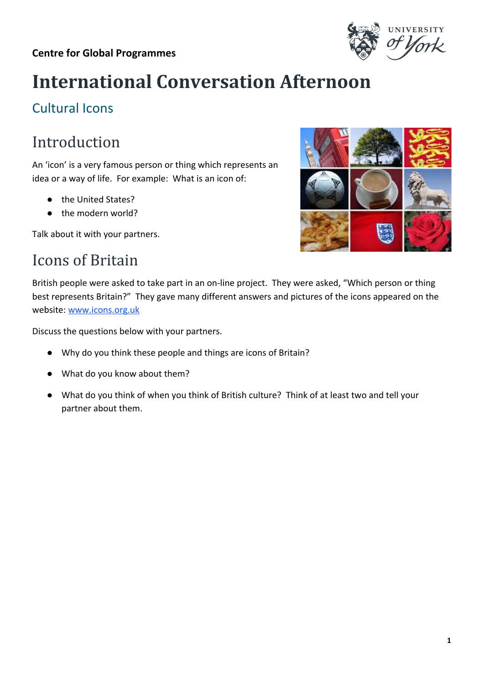#### **Centre for Global Programmes**



# **International Conversation Afternoon**

### Cultural Icons

# Introduction

An 'icon' is a very famous person or thing which represents an idea or a way of life. For example: What is an icon of:

- the United States?
- the modern world?

Talk about it with your partners.

### Icons of Britain



British people were asked to take part in an on-line project. They were asked, "Which person or thing best represents Britain?" They gave many different answers and pictures of the icons appeared on the website: [www.icons.org.uk](http://www.icons.org.uk/)

Discuss the questions below with your partners.

- Why do you think these people and things are icons of Britain?
- What do you know about them?
- What do you think of when you think of British culture? Think of at least two and tell your partner about them.